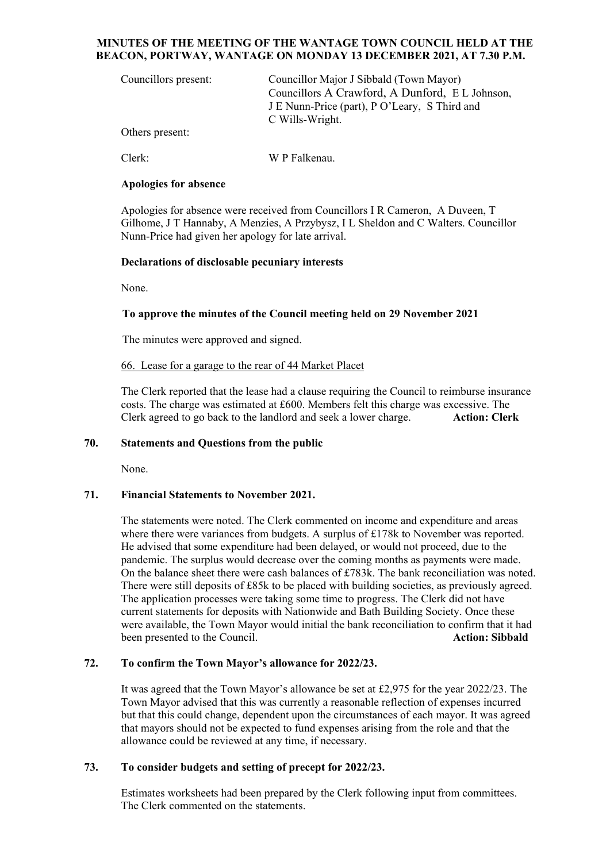#### **MINUTES OF THE MEETING OF THE WANTAGE TOWN COUNCIL HELD AT THE BEACON, PORTWAY, WANTAGE ON MONDAY 13 DECEMBER 2021, AT 7.30 P.M.**

| Councillors present: | Councillor Major J Sibbald (Town Mayor)<br>Councillors A Crawford, A Dunford, E L Johnson,<br>J E Nunn-Price (part), P O'Leary, S Third and<br>C Wills-Wright. |
|----------------------|----------------------------------------------------------------------------------------------------------------------------------------------------------------|
| Others present:      |                                                                                                                                                                |
| Clerk:               | W P Falkenau.                                                                                                                                                  |

## **Apologies for absence**

Apologies for absence were received from Councillors I R Cameron, A Duveen, T Gilhome, J T Hannaby, A Menzies, A Przybysz, I L Sheldon and C Walters. Councillor Nunn-Price had given her apology for late arrival.

## **Declarations of disclosable pecuniary interests**

None.

## **To approve the minutes of the Council meeting held on 29 November 2021**

The minutes were approved and signed.

## 66. Lease for a garage to the rear of 44 Market Placet

The Clerk reported that the lease had a clause requiring the Council to reimburse insurance costs. The charge was estimated at £600. Members felt this charge was excessive. The Clerk agreed to go back to the landlord and seek a lower charge. **Action: Clerk**

## **70. Statements and Questions from the public**

None.

## **71. Financial Statements to November 2021.**

The statements were noted. The Clerk commented on income and expenditure and areas where there were variances from budgets. A surplus of £178k to November was reported. He advised that some expenditure had been delayed, or would not proceed, due to the pandemic. The surplus would decrease over the coming months as payments were made. On the balance sheet there were cash balances of £783k. The bank reconciliation was noted. There were still deposits of £85k to be placed with building societies, as previously agreed. The application processes were taking some time to progress. The Clerk did not have current statements for deposits with Nationwide and Bath Building Society. Once these were available, the Town Mayor would initial the bank reconciliation to confirm that it had been presented to the Council. **Action: Sibbald Action: Sibbald** 

# **72. To confirm the Town Mayor's allowance for 2022/23.**

It was agreed that the Town Mayor's allowance be set at £2,975 for the year 2022/23. The Town Mayor advised that this was currently a reasonable reflection of expenses incurred but that this could change, dependent upon the circumstances of each mayor. It was agreed that mayors should not be expected to fund expenses arising from the role and that the allowance could be reviewed at any time, if necessary.

# **73. To consider budgets and setting of precept for 2022/23.**

Estimates worksheets had been prepared by the Clerk following input from committees. The Clerk commented on the statements.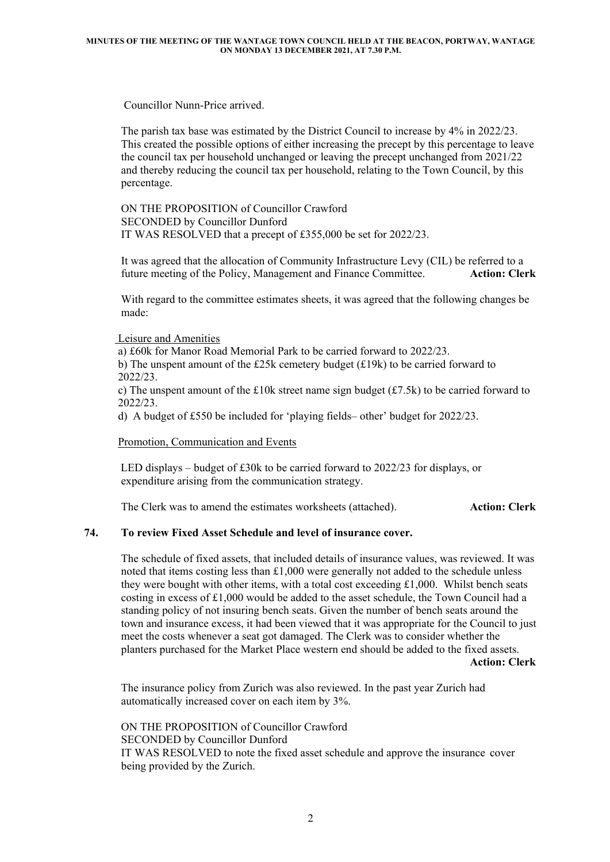Councillor Nunn-Price arrived.

The parish tax base was estimated by the District Council to increase by 4% in 2022/23. This created the possible options of either increasing the precept by this percentage to leave the council tax per household unchanged or leaving the precept unchanged from 2021/22 and thereby reducing the council tax per household, relating to the Town Council, by this percentage.

ON THE PROPOSITION of Councillor Crawford SECONDED by Councillor Dunford IT WAS RESOLVED that a precept of £355,000 be set for 2022/23.

It was agreed that the allocation of Community Infrastructure Levy (CIL) be referred to a future meeting of the Policy, Management and Finance Committee. **Action: Clerk**

With regard to the committee estimates sheets, it was agreed that the following changes be made:

Leisure and Amenities

 a) £60k for Manor Road Memorial Park to be carried forward to 2022/23. b) The unspent amount of the £25k cemetery budget (£19k) to be carried forward to 2022/23.

c) The unspent amount of the £10k street name sign budget (£7.5k) to be carried forward to 2022/23.

d) A budget of £550 be included for 'playing fields– other' budget for 2022/23.

Promotion, Communication and Events

LED displays – budget of £30k to be carried forward to  $2022/23$  for displays, or expenditure arising from the communication strategy.

The Clerk was to amend the estimates worksheets (attached). **Action: Clerk**

## **74. To review Fixed Asset Schedule and level of insurance cover.**

The schedule of fixed assets, that included details of insurance values, was reviewed. It was noted that items costing less than  $£1,000$  were generally not added to the schedule unless they were bought with other items, with a total cost exceeding £1,000. Whilst bench seats costing in excess of £1,000 would be added to the asset schedule, the Town Council had a standing policy of not insuring bench seats. Given the number of bench seats around the town and insurance excess, it had been viewed that it was appropriate for the Council to just meet the costs whenever a seat got damaged. The Clerk was to consider whether the planters purchased for the Market Place western end should be added to the fixed assets. **Action: Clerk**

The insurance policy from Zurich was also reviewed. In the past year Zurich had automatically increased cover on each item by 3%.

ON THE PROPOSITION of Councillor Crawford SECONDED by Councillor Dunford IT WAS RESOLVED to note the fixed asset schedule and approve the insurance cover being provided by the Zurich.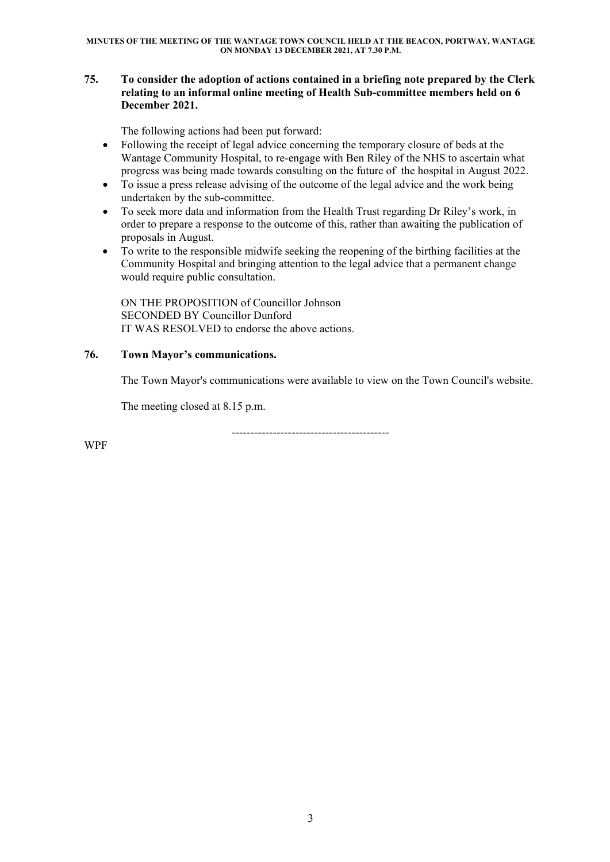## **75. To consider the adoption of actions contained in a briefing note prepared by the Clerk relating to an informal online meeting of Health Sub-committee members held on 6 December 2021.**

The following actions had been put forward:

- Following the receipt of legal advice concerning the temporary closure of beds at the Wantage Community Hospital, to re-engage with Ben Riley of the NHS to ascertain what progress was being made towards consulting on the future of the hospital in August 2022.
- To issue a press release advising of the outcome of the legal advice and the work being undertaken by the sub-committee.
- To seek more data and information from the Health Trust regarding Dr Riley's work, in order to prepare a response to the outcome of this, rather than awaiting the publication of proposals in August.
- To write to the responsible midwife seeking the reopening of the birthing facilities at the Community Hospital and bringing attention to the legal advice that a permanent change would require public consultation.

ON THE PROPOSITION of Councillor Johnson SECONDED BY Councillor Dunford IT WAS RESOLVED to endorse the above actions.

# **76. Town Mayor's communications.**

The Town Mayor's communications were available to view on the Town Council's website.

The meeting closed at 8.15 p.m.

------------------------------------------

WPF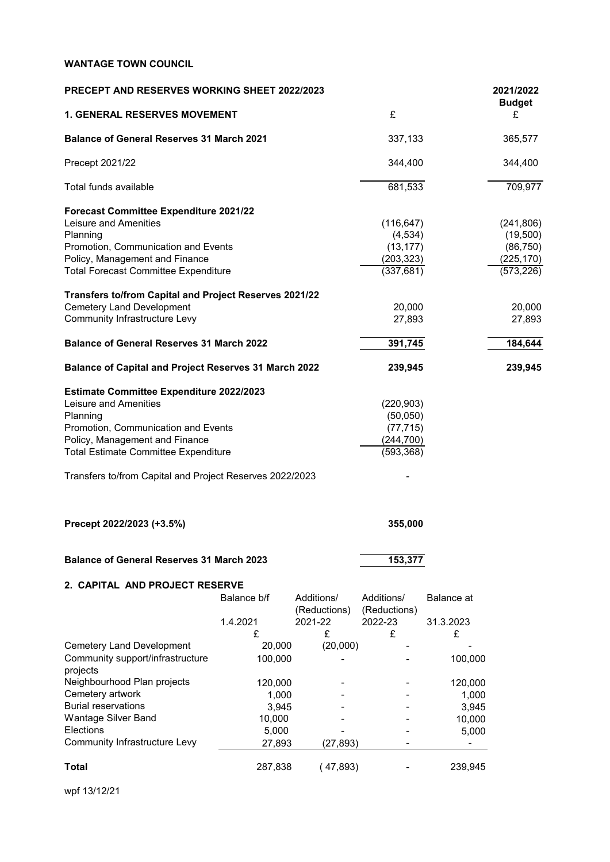| <b>PRECEPT AND RESERVES WORKING SHEET 2022/2023</b>          |             |              |              |            | 2021/2022<br><b>Budget</b> |
|--------------------------------------------------------------|-------------|--------------|--------------|------------|----------------------------|
| <b>1. GENERAL RESERVES MOVEMENT</b>                          |             |              | £            |            | £                          |
| <b>Balance of General Reserves 31 March 2021</b>             |             |              | 337,133      |            | 365,577                    |
| Precept 2021/22                                              |             |              | 344,400      |            | 344,400                    |
| Total funds available                                        |             |              | 681,533      |            | 709,977                    |
| Forecast Committee Expenditure 2021/22                       |             |              |              |            |                            |
| Leisure and Amenities                                        |             |              | (116, 647)   |            | (241, 806)                 |
| Planning                                                     |             |              | (4, 534)     |            | (19,500)                   |
| Promotion, Communication and Events                          |             |              | (13, 177)    |            | (86, 750)                  |
| Policy, Management and Finance                               |             |              | (203, 323)   |            | (225, 170)                 |
| <b>Total Forecast Committee Expenditure</b>                  |             |              | (337, 681)   |            | (573, 226)                 |
| Transfers to/from Capital and Project Reserves 2021/22       |             |              |              |            |                            |
| <b>Cemetery Land Development</b>                             |             |              | 20,000       |            | 20,000                     |
| <b>Community Infrastructure Levy</b>                         |             |              | 27,893       |            | 27,893                     |
| <b>Balance of General Reserves 31 March 2022</b>             |             |              | 391,745      |            | 184,644                    |
| <b>Balance of Capital and Project Reserves 31 March 2022</b> |             |              | 239,945      |            | 239,945                    |
| <b>Estimate Committee Expenditure 2022/2023</b>              |             |              |              |            |                            |
| Leisure and Amenities                                        |             |              | (220, 903)   |            |                            |
| Planning                                                     |             |              | (50,050)     |            |                            |
| Promotion, Communication and Events                          |             |              | (77, 715)    |            |                            |
| Policy, Management and Finance                               |             |              | (244, 700)   |            |                            |
| <b>Total Estimate Committee Expenditure</b>                  |             |              | (593, 368)   |            |                            |
| Transfers to/from Capital and Project Reserves 2022/2023     |             |              |              |            |                            |
| Precept 2022/2023 (+3.5%)                                    |             |              | 355,000      |            |                            |
| <b>Balance of General Reserves 31 March 2023</b>             |             |              | 153,377      |            |                            |
|                                                              |             |              |              |            |                            |
| 2. CAPITAL AND PROJECT RESERVE                               | Balance b/f | Additions/   | Additions/   | Balance at |                            |
|                                                              |             | (Reductions) | (Reductions) |            |                            |
|                                                              | 1.4.2021    | 2021-22      | 2022-23      | 31.3.2023  |                            |
|                                                              | £           | £            | £            | £          |                            |
| <b>Cemetery Land Development</b>                             | 20,000      | (20,000)     |              |            |                            |
| Community support/infrastructure<br>projects                 | 100,000     |              |              | 100,000    |                            |
| Neighbourhood Plan projects                                  | 120,000     |              |              | 120,000    |                            |
| Cemetery artwork                                             | 1,000       |              |              | 1,000      |                            |
| <b>Burial reservations</b>                                   | 3,945       |              |              | 3,945      |                            |
| Wantage Silver Band                                          | 10,000      |              |              | 10,000     |                            |
| Elections                                                    | 5,000       |              |              | 5,000      |                            |
| <b>Community Infrastructure Levy</b>                         | 27,893      | (27, 893)    |              |            |                            |
|                                                              |             |              |              |            |                            |
| <b>Total</b>                                                 | 287,838     | (47,893)     |              | 239,945    |                            |

wpf 13/12/21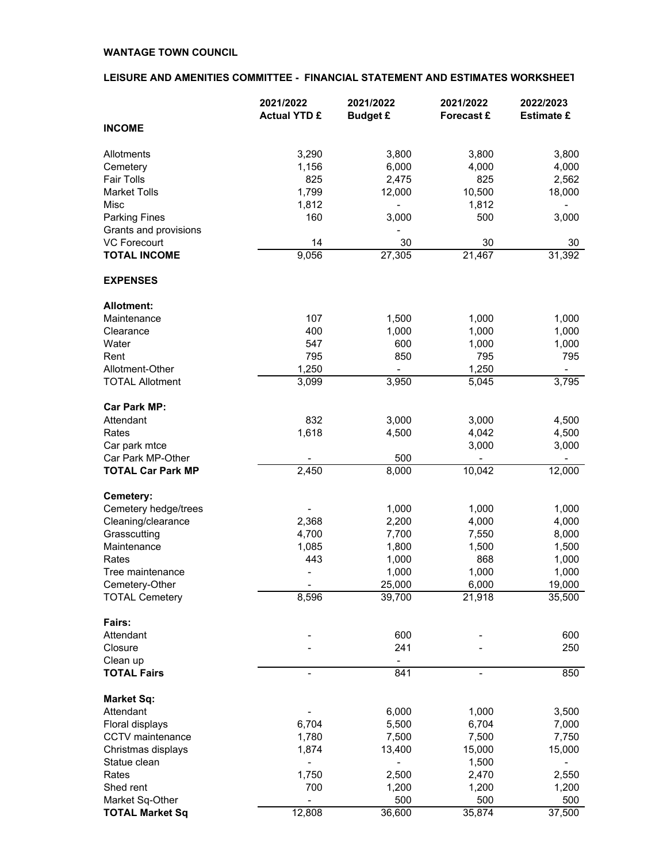#### **LEISURE AND AMENITIES COMMITTEE - FINANCIAL STATEMENT AND ESTIMATES WORKSHEET**

|                          | 2021/2022                | 2021/2022                | 2021/2022                | 2022/2023         |
|--------------------------|--------------------------|--------------------------|--------------------------|-------------------|
|                          | <b>Actual YTD £</b>      | <b>Budget £</b>          | Forecast £               | <b>Estimate £</b> |
| <b>INCOME</b>            |                          |                          |                          |                   |
| Allotments               | 3,290                    | 3,800                    | 3,800                    | 3,800             |
| Cemetery                 | 1,156                    | 6,000                    | 4,000                    | 4,000             |
| <b>Fair Tolls</b>        | 825                      | 2,475                    | 825                      | 2,562             |
| <b>Market Tolls</b>      | 1,799                    | 12,000                   | 10,500                   | 18,000            |
| Misc                     | 1,812                    | $\overline{\phantom{0}}$ | 1,812                    |                   |
| <b>Parking Fines</b>     | 160                      | 3,000                    | 500                      | 3,000             |
| Grants and provisions    |                          |                          |                          |                   |
| <b>VC Forecourt</b>      | 14                       | 30                       | 30                       | 30                |
| <b>TOTAL INCOME</b>      | 9,056                    | 27,305                   | 21,467                   | 31,392            |
| <b>EXPENSES</b>          |                          |                          |                          |                   |
| <b>Allotment:</b>        |                          |                          |                          |                   |
| Maintenance              | 107                      | 1,500                    | 1,000                    | 1,000             |
| Clearance                | 400                      | 1,000                    | 1,000                    | 1,000             |
| Water                    | 547                      | 600                      | 1,000                    | 1,000             |
| Rent                     | 795                      | 850                      | 795                      | 795               |
| Allotment-Other          | 1,250                    |                          | 1,250                    |                   |
| <b>TOTAL Allotment</b>   | 3,099                    | 3,950                    | 5,045                    | 3,795             |
| <b>Car Park MP:</b>      |                          |                          |                          |                   |
| Attendant                | 832                      | 3,000                    | 3,000                    | 4,500             |
| Rates                    | 1,618                    | 4,500                    | 4,042                    | 4,500             |
| Car park mtce            |                          |                          | 3,000                    | 3,000             |
| Car Park MP-Other        |                          | 500                      |                          |                   |
| <b>TOTAL Car Park MP</b> | 2,450                    | 8,000                    | 10,042                   | 12,000            |
| Cemetery:                |                          |                          |                          |                   |
| Cemetery hedge/trees     |                          | 1,000                    | 1,000                    | 1,000             |
| Cleaning/clearance       | 2,368                    | 2,200                    | 4,000                    | 4,000             |
| Grasscutting             | 4,700                    | 7,700                    | 7,550                    | 8,000             |
| Maintenance              | 1,085                    | 1,800                    | 1,500                    | 1,500             |
| Rates                    | 443                      | 1,000                    | 868                      | 1,000             |
| Tree maintenance         | $\overline{a}$           | 1,000                    | 1,000                    | 1,000             |
| Cemetery-Other           |                          | 25,000                   | 6,000                    | 19,000            |
| <b>TOTAL Cemetery</b>    | 8,596                    | 39,700                   | 21,918                   | 35,500            |
| Fairs:                   |                          |                          |                          |                   |
| Attendant                |                          | 600                      |                          | 600               |
| Closure                  |                          | 241                      |                          | 250               |
| Clean up                 |                          |                          |                          |                   |
| <b>TOTAL Fairs</b>       | $\overline{\phantom{0}}$ | 841                      | $\overline{\phantom{a}}$ | 850               |
| Market Sq:               |                          |                          |                          |                   |
| Attendant                |                          | 6,000                    | 1,000                    | 3,500             |
| Floral displays          | 6,704                    | 5,500                    | 6,704                    | 7,000             |
| CCTV maintenance         | 1,780                    | 7,500                    | 7,500                    | 7,750             |
| Christmas displays       | 1,874                    | 13,400                   | 15,000                   | 15,000            |
| Statue clean             | $\overline{a}$           |                          | 1,500                    |                   |
| Rates                    | 1,750                    | 2,500                    | 2,470                    | 2,550             |
| Shed rent                | 700                      | 1,200                    | 1,200                    | 1,200             |
| Market Sq-Other          |                          | 500                      | 500                      | 500               |
| <b>TOTAL Market Sq</b>   | 12,808                   | 36,600                   | 35,874                   | 37,500            |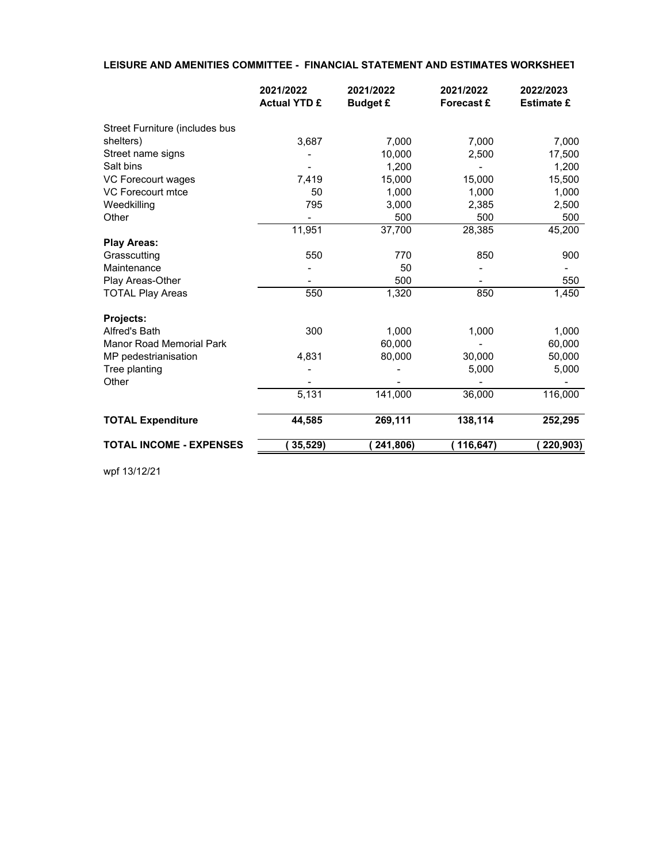#### **LEISURE AND AMENITIES COMMITTEE - FINANCIAL STATEMENT AND ESTIMATES WORKSHEET**

|                                 | 2021/2022<br><b>Actual YTD £</b> | 2021/2022<br><b>Budget £</b> | 2021/2022<br><b>Forecast £</b> | 2022/2023<br><b>Estimate £</b> |
|---------------------------------|----------------------------------|------------------------------|--------------------------------|--------------------------------|
|                                 |                                  |                              |                                |                                |
| Street Furniture (includes bus  |                                  |                              |                                |                                |
| shelters)                       | 3,687                            | 7,000                        | 7,000                          | 7,000                          |
| Street name signs               |                                  | 10,000                       | 2,500                          | 17,500                         |
| Salt bins                       |                                  | 1.200                        |                                | 1,200                          |
| VC Forecourt wages              | 7,419                            | 15,000                       | 15,000                         | 15,500                         |
| VC Forecourt mtce               | 50                               | 1,000                        | 1,000                          | 1,000                          |
| Weedkilling                     | 795                              | 3,000                        | 2,385                          | 2,500                          |
| Other                           |                                  | 500                          | 500                            | 500                            |
|                                 | 11,951                           | 37,700                       | 28,385                         | 45,200                         |
| <b>Play Areas:</b>              |                                  |                              |                                |                                |
| Grasscutting                    | 550                              | 770                          | 850                            | 900                            |
| Maintenance                     |                                  | 50                           |                                |                                |
| Play Areas-Other                |                                  | 500                          |                                | 550                            |
| <b>TOTAL Play Areas</b>         | 550                              | 1,320                        | 850                            | 1,450                          |
| Projects:                       |                                  |                              |                                |                                |
| Alfred's Bath                   | 300                              | 1,000                        | 1,000                          | 1,000                          |
| <b>Manor Road Memorial Park</b> |                                  | 60,000                       |                                | 60,000                         |
| MP pedestrianisation            | 4,831                            | 80,000                       | 30,000                         | 50,000                         |
| Tree planting                   |                                  |                              | 5,000                          | 5,000                          |
| Other                           |                                  |                              |                                |                                |
|                                 | 5,131                            | 141,000                      | 36,000                         | 116,000                        |
| <b>TOTAL Expenditure</b>        | 44,585                           | 269,111                      | 138,114                        | 252,295                        |
| <b>TOTAL INCOME - EXPENSES</b>  | 35,529)                          | 241,806)                     | 116,647)                       | 220,903)                       |

wpf 13/12/21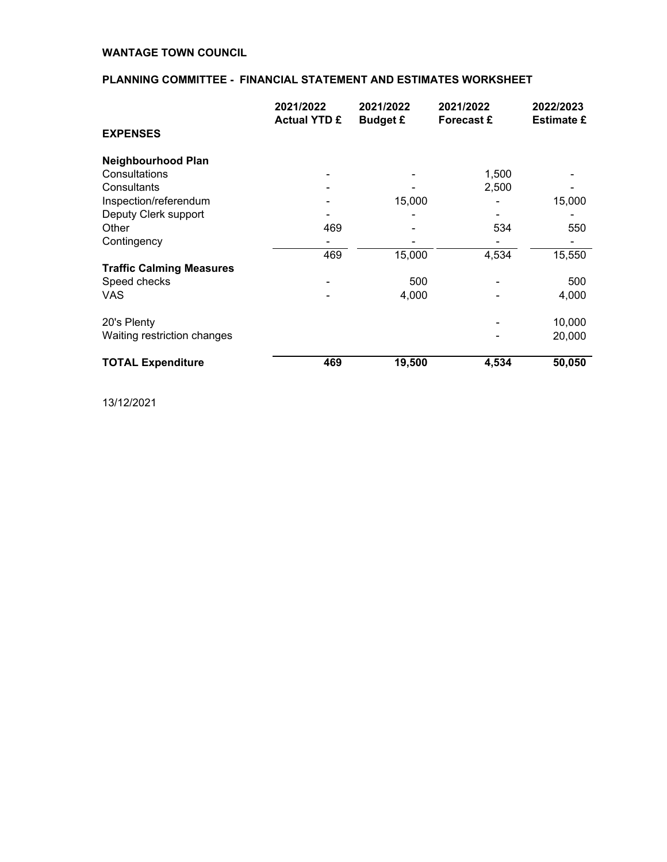# **PLANNING COMMITTEE - FINANCIAL STATEMENT AND ESTIMATES WORKSHEET**

|                                 | 2021/2022<br><b>Actual YTD £</b> | 2021/2022<br><b>Budget £</b> | 2021/2022<br><b>Forecast £</b> | 2022/2023<br><b>Estimate £</b> |
|---------------------------------|----------------------------------|------------------------------|--------------------------------|--------------------------------|
| <b>EXPENSES</b>                 |                                  |                              |                                |                                |
| <b>Neighbourhood Plan</b>       |                                  |                              |                                |                                |
| Consultations                   |                                  |                              | 1,500                          |                                |
| Consultants                     |                                  |                              | 2,500                          |                                |
| Inspection/referendum           |                                  | 15,000                       |                                | 15,000                         |
| Deputy Clerk support            |                                  |                              |                                |                                |
| Other                           | 469                              |                              | 534                            | 550                            |
| Contingency                     |                                  |                              |                                |                                |
|                                 | 469                              | 15,000                       | 4,534                          | 15,550                         |
| <b>Traffic Calming Measures</b> |                                  |                              |                                |                                |
| Speed checks                    |                                  | 500                          |                                | 500                            |
| VAS                             |                                  | 4,000                        |                                | 4,000                          |
| 20's Plenty                     |                                  |                              |                                | 10,000                         |
| Waiting restriction changes     |                                  |                              |                                | 20,000                         |
| <b>TOTAL Expenditure</b>        | 469                              | 19,500                       | 4,534                          | 50,050                         |

13/12/2021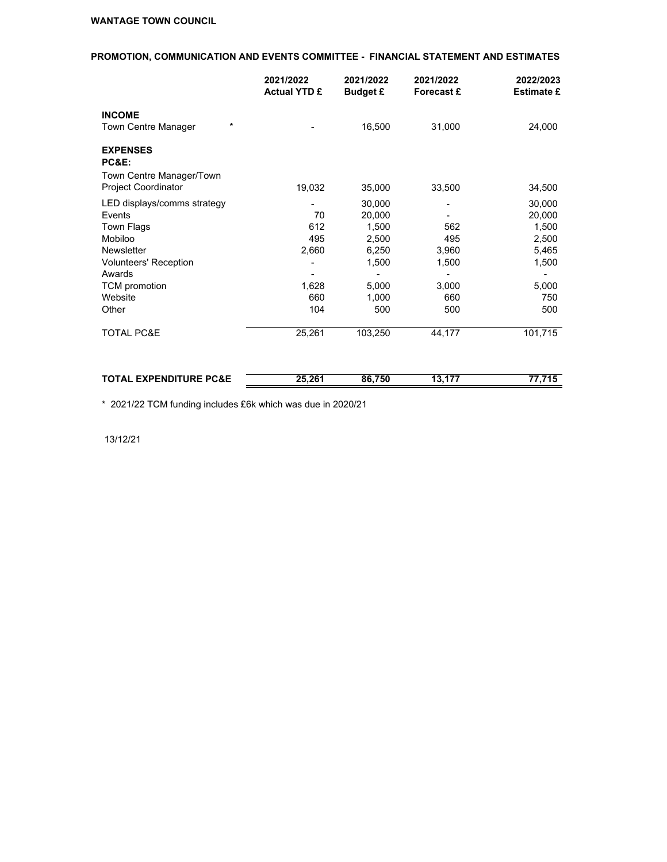# **PROMOTION, COMMUNICATION AND EVENTS COMMITTEE - FINANCIAL STATEMENT AND ESTIMATES**

|                                                                                                                                                                           | 2021/2022<br><b>Actual YTD £</b>                      | 2021/2022<br><b>Budget £</b>                                                  | 2021/2022<br>Forecast £                                  | 2022/2023<br><b>Estimate £</b>                                              |
|---------------------------------------------------------------------------------------------------------------------------------------------------------------------------|-------------------------------------------------------|-------------------------------------------------------------------------------|----------------------------------------------------------|-----------------------------------------------------------------------------|
| <b>INCOME</b>                                                                                                                                                             |                                                       |                                                                               |                                                          |                                                                             |
| Town Centre Manager                                                                                                                                                       | $\star$                                               | 16,500                                                                        | 31,000                                                   | 24,000                                                                      |
| <b>EXPENSES</b><br>PC&E:                                                                                                                                                  |                                                       |                                                                               |                                                          |                                                                             |
| Town Centre Manager/Town<br><b>Project Coordinator</b>                                                                                                                    | 19,032                                                | 35,000                                                                        | 33,500                                                   | 34,500                                                                      |
| LED displays/comms strategy<br>Events<br>Town Flags<br>Mobiloo<br><b>Newsletter</b><br><b>Volunteers' Reception</b><br>Awards<br><b>TCM</b> promotion<br>Website<br>Other | -<br>70<br>612<br>495<br>2,660<br>1,628<br>660<br>104 | 30,000<br>20,000<br>1,500<br>2,500<br>6,250<br>1,500<br>5,000<br>1,000<br>500 | -<br>562<br>495<br>3,960<br>1,500<br>3,000<br>660<br>500 | 30,000<br>20,000<br>1,500<br>2,500<br>5,465<br>1,500<br>5,000<br>750<br>500 |
| <b>TOTAL PC&amp;E</b>                                                                                                                                                     | 25,261                                                | 103,250                                                                       | 44,177                                                   | 101,715                                                                     |

| <b>EXPENDITURE PC&amp;E</b><br><b>TOTAL</b><br>n. | 25.261 | 86.750 | ---<br>v | -- - - - |
|---------------------------------------------------|--------|--------|----------|----------|
|                                                   |        |        |          |          |

\* 2021/22 TCM funding includes £6k which was due in 2020/21

13/12/21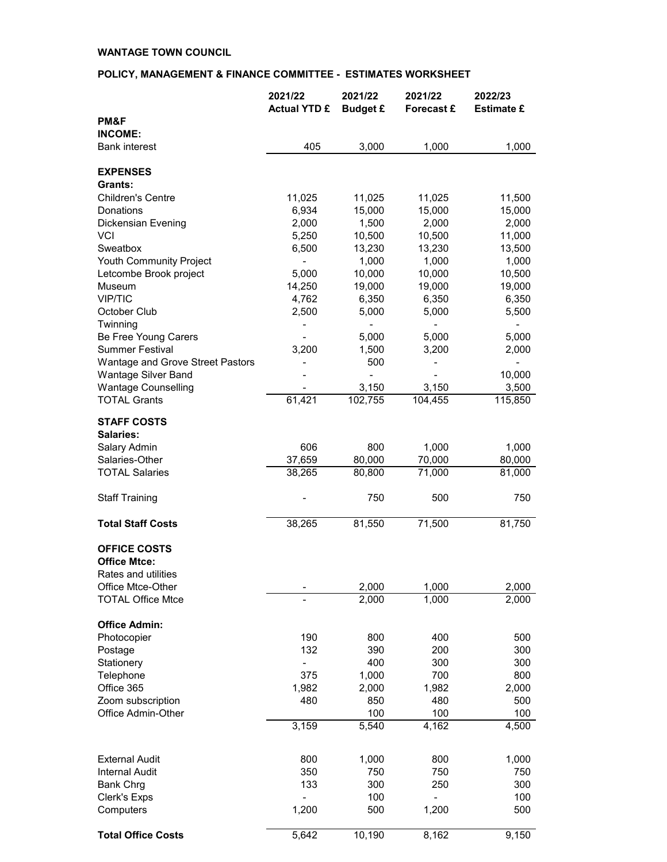# **POLICY, MANAGEMENT & FINANCE COMMITTEE - ESTIMATES WORKSHEET**

|                                  | 2021/22             | 2021/22         | 2021/22    | 2022/23           |
|----------------------------------|---------------------|-----------------|------------|-------------------|
| PM&F                             | <b>Actual YTD £</b> | <b>Budget £</b> | Forecast £ | <b>Estimate £</b> |
| <b>INCOME:</b>                   |                     |                 |            |                   |
| <b>Bank interest</b>             | 405                 | 3,000           | 1,000      | 1,000             |
| <b>EXPENSES</b>                  |                     |                 |            |                   |
| Grants:                          |                     |                 |            |                   |
| <b>Children's Centre</b>         | 11,025              | 11,025          | 11,025     | 11,500            |
| Donations                        | 6,934               | 15,000          | 15,000     | 15,000            |
| <b>Dickensian Evening</b>        | 2,000               | 1,500           | 2,000      | 2,000             |
| <b>VCI</b>                       | 5,250               | 10,500          | 10,500     | 11,000            |
| Sweatbox                         | 6,500               | 13,230          | 13,230     | 13,500            |
| <b>Youth Community Project</b>   |                     | 1,000           | 1,000      | 1,000             |
| Letcombe Brook project           | 5,000               | 10,000          | 10,000     | 10,500            |
| Museum                           | 14,250              | 19,000          | 19,000     | 19,000            |
| <b>VIP/TIC</b>                   | 4,762               | 6,350           | 6,350      | 6,350             |
| October Club                     | 2,500               | 5,000           | 5,000      | 5,500             |
| Twinning<br>Be Free Young Carers |                     | 5,000           | 5,000      | 5,000             |
| <b>Summer Festival</b>           | 3,200               | 1,500           | 3,200      | 2,000             |
| Wantage and Grove Street Pastors |                     | 500             |            |                   |
| <b>Wantage Silver Band</b>       |                     |                 |            | 10,000            |
| <b>Wantage Counselling</b>       |                     | 3,150           | 3,150      | 3,500             |
| <b>TOTAL Grants</b>              | 61,421              | 102,755         | 104,455    | 115,850           |
| <b>STAFF COSTS</b>               |                     |                 |            |                   |
| <b>Salaries:</b>                 |                     |                 |            |                   |
| Salary Admin                     | 606                 | 800             | 1,000      | 1,000             |
| Salaries-Other                   | 37,659              | 80,000          | 70,000     | 80,000            |
| <b>TOTAL Salaries</b>            | 38,265              | 80,800          | 71,000     | 81,000            |
| <b>Staff Training</b>            |                     | 750             | 500        | 750               |
| <b>Total Staff Costs</b>         | 38,265              | 81,550          | 71,500     | 81,750            |
| <b>OFFICE COSTS</b>              |                     |                 |            |                   |
| <b>Office Mtce:</b>              |                     |                 |            |                   |
| Rates and utilities              |                     |                 |            |                   |
| Office Mtce-Other                |                     | 2,000           | 1,000      | 2,000             |
| <b>TOTAL Office Mtce</b>         |                     | 2,000           | 1,000      | 2,000             |
| <b>Office Admin:</b>             |                     |                 |            |                   |
| Photocopier                      | 190                 | 800             | 400        | 500               |
| Postage                          | 132                 | 390             | 200        | 300               |
| Stationery                       |                     | 400             | 300        | 300               |
| Telephone                        | 375                 | 1,000           | 700        | 800               |
| Office 365                       | 1,982               | 2,000           | 1,982      | 2,000             |
| Zoom subscription                | 480                 | 850             | 480        | 500               |
| Office Admin-Other               |                     | 100             | 100        | 100               |
|                                  | 3,159               | 5,540           | 4,162      | 4,500             |
| <b>External Audit</b>            | 800                 | 1,000           | 800        | 1,000             |
| <b>Internal Audit</b>            | 350                 | 750             | 750        | 750               |
| <b>Bank Chrg</b>                 | 133                 | 300             | 250        | 300               |
| Clerk's Exps                     |                     | 100             |            | 100               |
| Computers                        | 1,200               | 500             | 1,200      | 500               |
| <b>Total Office Costs</b>        | 5,642               | 10,190          | 8,162      | 9,150             |